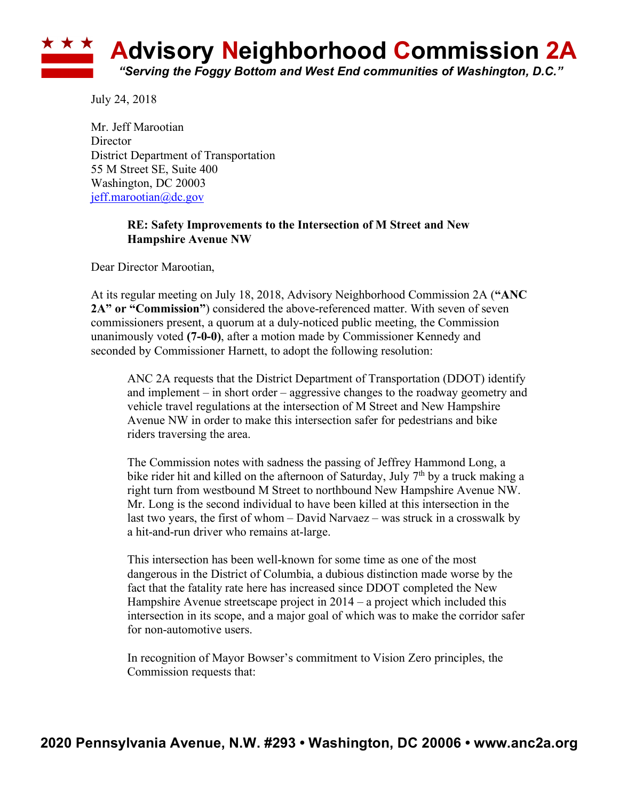

July 24, 2018

Mr. Jeff Marootian **Director** District Department of Transportation 55 M Street SE, Suite 400 Washington, DC 20003 jeff.marootian@dc.gov

## **RE: Safety Improvements to the Intersection of M Street and New Hampshire Avenue NW**

Dear Director Marootian,

At its regular meeting on July 18, 2018, Advisory Neighborhood Commission 2A (**"ANC 2A" or "Commission"**) considered the above-referenced matter. With seven of seven commissioners present, a quorum at a duly-noticed public meeting, the Commission unanimously voted **(7-0-0)**, after a motion made by Commissioner Kennedy and seconded by Commissioner Harnett, to adopt the following resolution:

ANC 2A requests that the District Department of Transportation (DDOT) identify and implement – in short order – aggressive changes to the roadway geometry and vehicle travel regulations at the intersection of M Street and New Hampshire Avenue NW in order to make this intersection safer for pedestrians and bike riders traversing the area.

The Commission notes with sadness the passing of Jeffrey Hammond Long, a bike rider hit and killed on the afternoon of Saturday, July 7<sup>th</sup> by a truck making a right turn from westbound M Street to northbound New Hampshire Avenue NW. Mr. Long is the second individual to have been killed at this intersection in the last two years, the first of whom – David Narvaez – was struck in a crosswalk by a hit-and-run driver who remains at-large.

This intersection has been well-known for some time as one of the most dangerous in the District of Columbia, a dubious distinction made worse by the fact that the fatality rate here has increased since DDOT completed the New Hampshire Avenue streetscape project in 2014 – a project which included this intersection in its scope, and a major goal of which was to make the corridor safer for non-automotive users.

In recognition of Mayor Bowser's commitment to Vision Zero principles, the Commission requests that: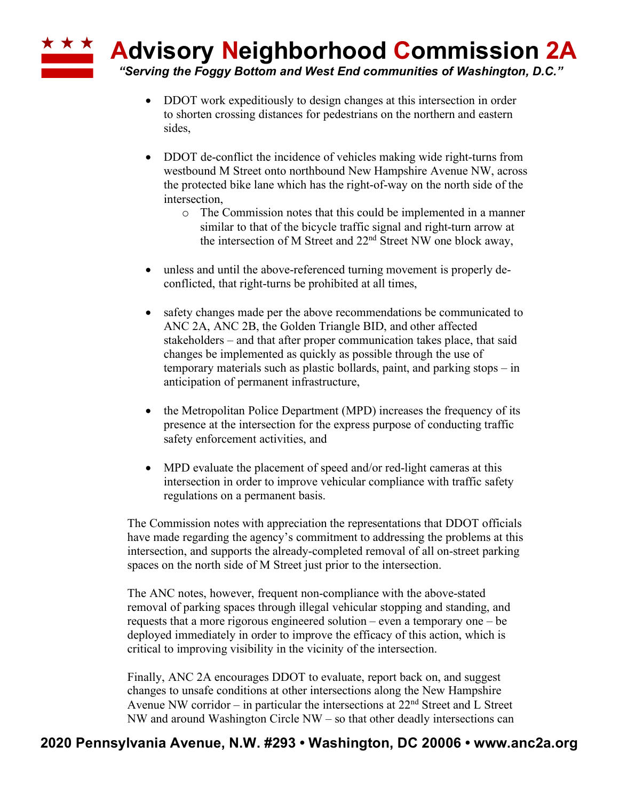**Advisory Neighborhood Commission 2A**

*"Serving the Foggy Bottom and West End communities of Washington, D.C."*

• DDOT work expeditiously to design changes at this intersection in order to shorten crossing distances for pedestrians on the northern and eastern sides,

\* \* \*

- DDOT de-conflict the incidence of vehicles making wide right-turns from westbound M Street onto northbound New Hampshire Avenue NW, across the protected bike lane which has the right-of-way on the north side of the intersection,
	- o The Commission notes that this could be implemented in a manner similar to that of the bicycle traffic signal and right-turn arrow at the intersection of M Street and 22nd Street NW one block away,
- unless and until the above-referenced turning movement is properly deconflicted, that right-turns be prohibited at all times,
- safety changes made per the above recommendations be communicated to ANC 2A, ANC 2B, the Golden Triangle BID, and other affected stakeholders – and that after proper communication takes place, that said changes be implemented as quickly as possible through the use of temporary materials such as plastic bollards, paint, and parking stops – in anticipation of permanent infrastructure,
- the Metropolitan Police Department (MPD) increases the frequency of its presence at the intersection for the express purpose of conducting traffic safety enforcement activities, and
- MPD evaluate the placement of speed and/or red-light cameras at this intersection in order to improve vehicular compliance with traffic safety regulations on a permanent basis.

The Commission notes with appreciation the representations that DDOT officials have made regarding the agency's commitment to addressing the problems at this intersection, and supports the already-completed removal of all on-street parking spaces on the north side of M Street just prior to the intersection.

The ANC notes, however, frequent non-compliance with the above-stated removal of parking spaces through illegal vehicular stopping and standing, and requests that a more rigorous engineered solution – even a temporary one – be deployed immediately in order to improve the efficacy of this action, which is critical to improving visibility in the vicinity of the intersection.

Finally, ANC 2A encourages DDOT to evaluate, report back on, and suggest changes to unsafe conditions at other intersections along the New Hampshire Avenue NW corridor – in particular the intersections at  $22<sup>nd</sup>$  Street and L Street NW and around Washington Circle NW – so that other deadly intersections can

## **2020 Pennsylvania Avenue, N.W. #293 • Washington, DC 20006 • www.anc2a.org**